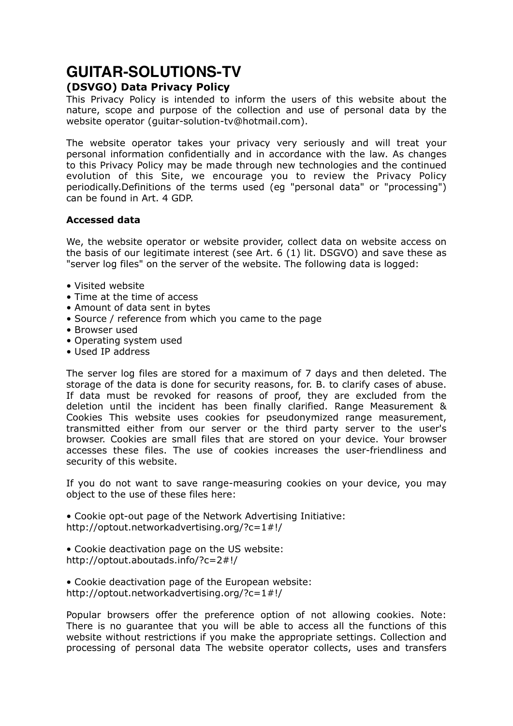# **GUITAR-SOLUTIONS-TV (DSVGO) Data Privacy Policy**

This Privacy Policy is intended to inform the users of this website about the nature, scope and purpose of the collection and use of personal data by the website operator (guitar-solution-tv@hotmail.com).

The website operator takes your privacy very seriously and will treat your personal information confidentially and in accordance with the law. As changes to this Privacy Policy may be made through new technologies and the continued evolution of this Site, we encourage you to review the Privacy Policy periodically.Definitions of the terms used (eg "personal data" or "processing") can be found in Art. 4 GDP.

### **Accessed data**

We, the website operator or website provider, collect data on website access on the basis of our legitimate interest (see Art. 6 (1) lit. DSGVO) and save these as "server log files" on the server of the website. The following data is logged:

- Visited website
- Time at the time of access
- Amount of data sent in bytes
- Source / reference from which you came to the page
- Browser used
- Operating system used
- Used IP address

The server log files are stored for a maximum of 7 days and then deleted. The storage of the data is done for security reasons, for. B. to clarify cases of abuse. If data must be revoked for reasons of proof, they are excluded from the deletion until the incident has been finally clarified. Range Measurement & Cookies This website uses cookies for pseudonymized range measurement, transmitted either from our server or the third party server to the user's browser. Cookies are small files that are stored on your device. Your browser accesses these files. The use of cookies increases the user-friendliness and security of this website.

If you do not want to save range-measuring cookies on your device, you may object to the use of these files here:

• Cookie opt-out page of the Network Advertising Initiative: <http://optout.networkadvertising.org/?c=1#!/>

- Cookie deactivation page on the US website: <http://optout.aboutads.info/?c=2#!/>
- Cookie deactivation page of the European website: <http://optout.networkadvertising.org/?c=1#!/>

Popular browsers offer the preference option of not allowing cookies. Note: There is no guarantee that you will be able to access all the functions of this website without restrictions if you make the appropriate settings. Collection and processing of personal data The website operator collects, uses and transfers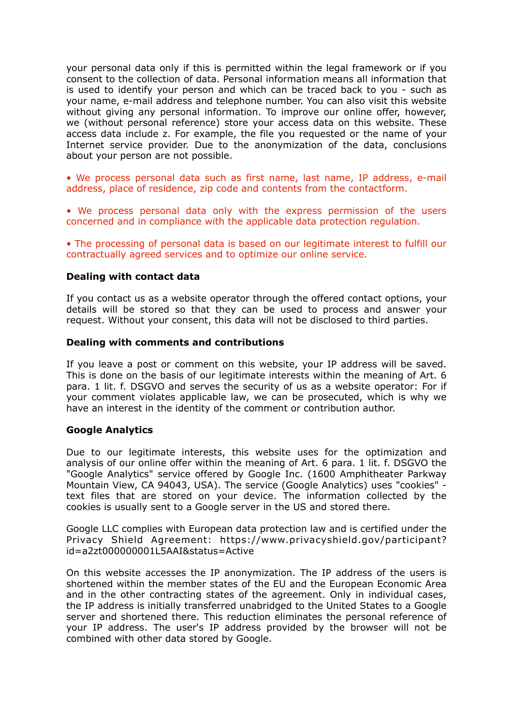your personal data only if this is permitted within the legal framework or if you consent to the collection of data. Personal information means all information that is used to identify your person and which can be traced back to you - such as your name, e-mail address and telephone number. You can also visit this website without giving any personal information. To improve our online offer, however, we (without personal reference) store your access data on this website. These access data include z. For example, the file you requested or the name of your Internet service provider. Due to the anonymization of the data, conclusions about your person are not possible.

• We process personal data such as first name, last name, IP address, e-mail address, place of residence, zip code and contents from the contactform.

• We process personal data only with the express permission of the users concerned and in compliance with the applicable data protection regulation.

• The processing of personal data is based on our legitimate interest to fulfill our contractually agreed services and to optimize our online service.

#### **Dealing with contact data**

If you contact us as a website operator through the offered contact options, your details will be stored so that they can be used to process and answer your request. Without your consent, this data will not be disclosed to third parties.

#### **Dealing with comments and contributions**

If you leave a post or comment on this website, your IP address will be saved. This is done on the basis of our legitimate interests within the meaning of Art. 6 para. 1 lit. f. DSGVO and serves the security of us as a website operator: For if your comment violates applicable law, we can be prosecuted, which is why we have an interest in the identity of the comment or contribution author.

#### **Google Analytics**

Due to our legitimate interests, this website uses for the optimization and analysis of our online offer within the meaning of Art. 6 para. 1 lit. f. DSGVO the "Google Analytics" service offered by Google Inc. (1600 Amphitheater Parkway Mountain View, CA 94043, USA). The service (Google Analytics) uses "cookies" text files that are stored on your device. The information collected by the cookies is usually sent to a Google server in the US and stored there.

Google LLC complies with European data protection law and is certified under the Privacy Shield Agreement: [https://www.privacyshield.gov/participant?](https://www.privacyshield.gov/participant?id=a2zt000000001L5AAI&status=Active) [id=a2zt000000001L5AAI&status=Active](https://www.privacyshield.gov/participant?id=a2zt000000001L5AAI&status=Active)

On this website accesses the IP anonymization. The IP address of the users is shortened within the member states of the EU and the European Economic Area and in the other contracting states of the agreement. Only in individual cases, the IP address is initially transferred unabridged to the United States to a Google server and shortened there. This reduction eliminates the personal reference of your IP address. The user's IP address provided by the browser will not be combined with other data stored by Google.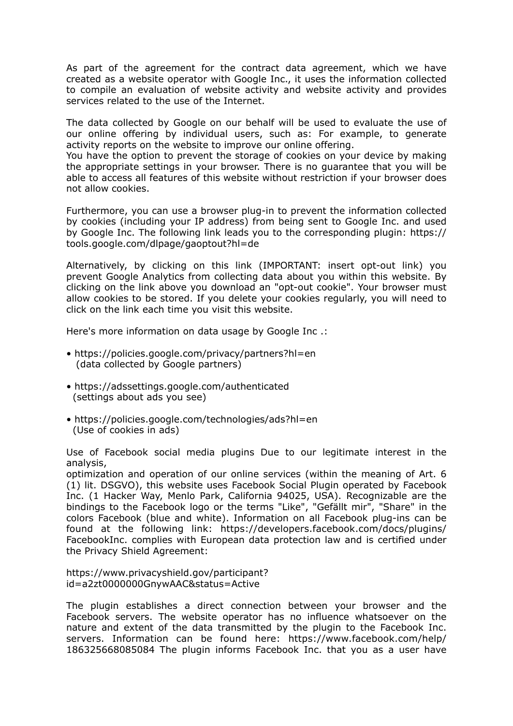As part of the agreement for the contract data agreement, which we have created as a website operator with Google Inc., it uses the information collected to compile an evaluation of website activity and website activity and provides services related to the use of the Internet.

The data collected by Google on our behalf will be used to evaluate the use of our online offering by individual users, such as: For example, to generate activity reports on the website to improve our online offering.

You have the option to prevent the storage of cookies on your device by making the appropriate settings in your browser. There is no guarantee that you will be able to access all features of this website without restriction if your browser does not allow cookies.

Furthermore, you can use a browser plug-in to prevent the information collected by cookies (including your IP address) from being sent to Google Inc. and used by Google Inc. The following link leads you to the corresponding plugin: [https://](https://tools.google.com/dlpage/gaoptout?hl=de) [tools.google.com/dlpage/gaoptout?hl=de](https://tools.google.com/dlpage/gaoptout?hl=de)

Alternatively, by clicking on this link (IMPORTANT: insert opt-out link) you prevent Google Analytics from collecting data about you within this website. By clicking on the link above you download an "opt-out cookie". Your browser must allow cookies to be stored. If you delete your cookies regularly, you will need to click on the link each time you visit this website.

Here's more information on data usage by Google Inc .:

- <https://policies.google.com/privacy/partners?hl=en> (data collected by Google partners)
- <https://adssettings.google.com/authenticated> (settings about ads you see)
- <https://policies.google.com/technologies/ads?hl=en> (Use of cookies in ads)

Use of Facebook social media plugins Due to our legitimate interest in the analysis,

optimization and operation of our online services (within the meaning of Art. 6 (1) lit. DSGVO), this website uses Facebook Social Plugin operated by Facebook Inc. (1 Hacker Way, Menlo Park, California 94025, USA). Recognizable are the bindings to the Facebook logo or the terms "Like", "Gefällt mir", "Share" in the colors Facebook (blue and white). Information on all Facebook plug-ins can be found at the following link: [https://developers.facebook.com/docs/plugins/](https://developers.facebook.com/docs/plugins/FacebookInc) [FacebookInc](https://developers.facebook.com/docs/plugins/FacebookInc). complies with European data protection law and is certified under the Privacy Shield Agreement:

[https://www.privacyshield.gov/participant?](https://www.privacyshield.gov/participant?id=a2zt0000000GnywAAC&status=Active) [id=a2zt0000000GnywAAC&status=Active](https://www.privacyshield.gov/participant?id=a2zt0000000GnywAAC&status=Active)

The plugin establishes a direct connection between your browser and the Facebook servers. The website operator has no influence whatsoever on the nature and extent of the data transmitted by the plugin to the Facebook Inc. servers. Information can be found here: https://www.facebook.com/help/ 186325668085084 The plugin informs Facebook Inc. that you as a user have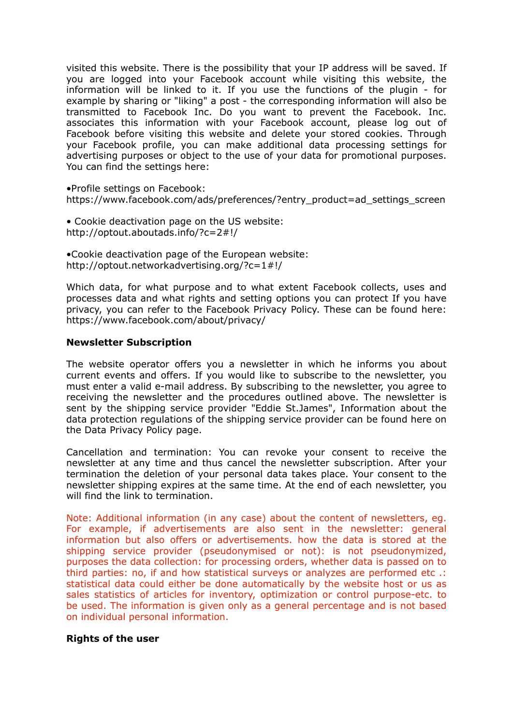visited this website. There is the possibility that your IP address will be saved. If you are logged into your Facebook account while visiting this website, the information will be linked to it. If you use the functions of the plugin - for example by sharing or "liking" a post - the corresponding information will also be transmitted to Facebook Inc. Do you want to prevent the Facebook. Inc. associates this information with your Facebook account, please log out of Facebook before visiting this website and delete your stored cookies. Through your Facebook profile, you can make additional data processing settings for advertising purposes or object to the use of your data for promotional purposes. You can find the settings here:

•Profile settings on Facebook: [https://www.facebook.com/ads/preferences/?entry\\_product=ad\\_settings\\_screen](https://www.facebook.com/ads/preferences/?entry_product=ad_settings_screen)

• Cookie deactivation page on the US website: <http://optout.aboutads.info/?c=2#!/>

•Cookie deactivation page of the European website: <http://optout.networkadvertising.org/?c=1#!/>

Which data, for what purpose and to what extent Facebook collects, uses and processes data and what rights and setting options you can protect If you have privacy, you can refer to the Facebook Privacy Policy. These can be found here: https://www.facebook.com/about/privacy/

#### **Newsletter Subscription**

The website operator offers you a newsletter in which he informs you about current events and offers. If you would like to subscribe to the newsletter, you must enter a valid e-mail address. By subscribing to the newsletter, you agree to receiving the newsletter and the procedures outlined above. The newsletter is sent by the shipping service provider "Eddie St.James", Information about the data protection regulations of the shipping service provider can be found here on the Data Privacy Policy page.

Cancellation and termination: You can revoke your consent to receive the newsletter at any time and thus cancel the newsletter subscription. After your termination the deletion of your personal data takes place. Your consent to the newsletter shipping expires at the same time. At the end of each newsletter, you will find the link to termination.

Note: Additional information (in any case) about the content of newsletters, eg. For example, if advertisements are also sent in the newsletter: general information but also offers or advertisements. how the data is stored at the shipping service provider (pseudonymised or not): is not pseudonymized, purposes the data collection: for processing orders, whether data is passed on to third parties: no, if and how statistical surveys or analyzes are performed etc .: statistical data could either be done automatically by the website host or us as sales statistics of articles for inventory, optimization or control purpose-etc. to be used. The information is given only as a general percentage and is not based on individual personal information.

#### **Rights of the user**